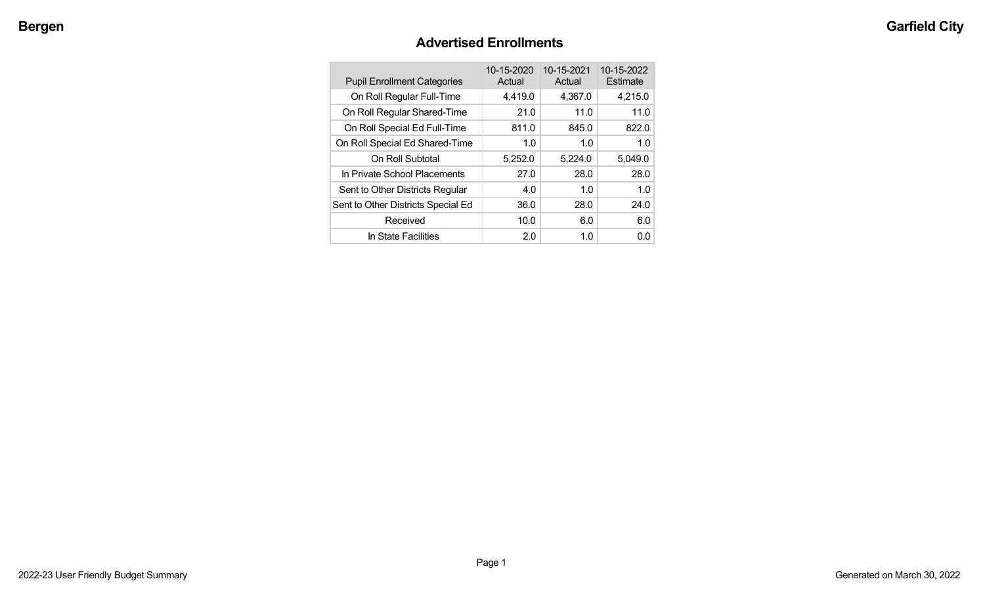## **Advertised Enrollments**

| <b>Pupil Enrollment Categories</b> | 10-15-2020<br>Actual | 10-15-2021<br>Actual | 10-15-2022<br>Estimate |
|------------------------------------|----------------------|----------------------|------------------------|
| On Roll Regular Full-Time          | 4,419.0              | 4,367.0              | 4,215.0                |
| On Roll Regular Shared-Time        | 21.0                 | 11.0                 | 11.0                   |
| On Roll Special Ed Full-Time       | 811.0                | 845.0                | 822.0                  |
| On Roll Special Ed Shared-Time     | 1.0                  | 1.0                  | 1.0 <sub>1</sub>       |
| On Roll Subtotal                   | 5,252.0              | 5,224.0              | 5.049.0                |
| In Private School Placements       | 27.0                 | 28.0                 | 28.0                   |
| Sent to Other Districts Regular    | 4.0                  | 1.0                  | 1.0                    |
| Sent to Other Districts Special Ed | 36.0                 | 28.0                 | 24.0                   |
| Received                           | 10.0                 | 6.0                  | 6.0                    |
| In State Facilities                | 2.0                  | 1.0                  | 0.0                    |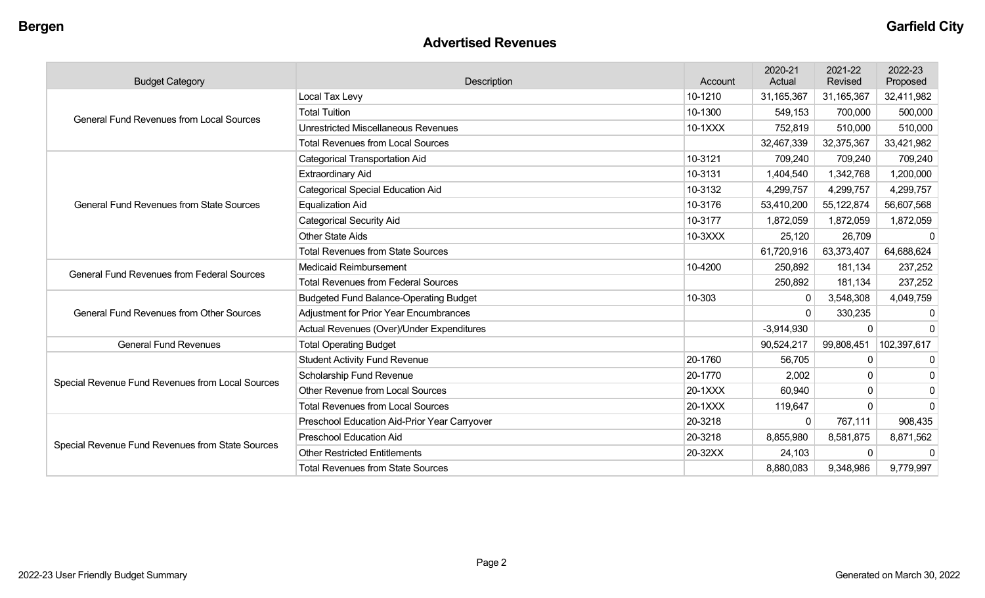#### **Advertised Revenues**

| <b>Budget Category</b>                            | Description                                   | Account | 2020-21<br>Actual | 2021-22<br>Revised | 2022-23<br>Proposed |
|---------------------------------------------------|-----------------------------------------------|---------|-------------------|--------------------|---------------------|
|                                                   | Local Tax Levy                                | 10-1210 | 31,165,367        | 31,165,367         | 32,411,982          |
| <b>General Fund Revenues from Local Sources</b>   | <b>Total Tuition</b>                          | 10-1300 | 549,153           | 700,000            | 500,000             |
|                                                   | <b>Unrestricted Miscellaneous Revenues</b>    | 10-1XXX | 752,819           | 510,000            | 510,000             |
|                                                   | <b>Total Revenues from Local Sources</b>      |         | 32,467,339        | 32,375,367         | 33,421,982          |
|                                                   | <b>Categorical Transportation Aid</b>         | 10-3121 | 709,240           | 709,240            | 709,240             |
|                                                   | <b>Extraordinary Aid</b>                      | 10-3131 | 1,404,540         | 1,342,768          | 1,200,000           |
|                                                   | <b>Categorical Special Education Aid</b>      | 10-3132 | 4,299,757         | 4,299,757          | 4,299,757           |
| <b>General Fund Revenues from State Sources</b>   | <b>Equalization Aid</b>                       | 10-3176 | 53,410,200        | 55,122,874         | 56,607,568          |
|                                                   | <b>Categorical Security Aid</b>               | 10-3177 | 1,872,059         | 1,872,059          | 1,872,059           |
|                                                   | <b>Other State Aids</b>                       | 10-3XXX | 25,120            | 26,709             | $\Omega$            |
|                                                   | <b>Total Revenues from State Sources</b>      |         | 61,720,916        | 63,373,407         | 64,688,624          |
| <b>General Fund Revenues from Federal Sources</b> | <b>Medicaid Reimbursement</b>                 | 10-4200 | 250,892           | 181,134            | 237,252             |
|                                                   | <b>Total Revenues from Federal Sources</b>    |         | 250,892           | 181,134            | 237,252             |
|                                                   | <b>Budgeted Fund Balance-Operating Budget</b> | 10-303  | $\Omega$          | 3,548,308          | 4,049,759           |
| <b>General Fund Revenues from Other Sources</b>   | <b>Adjustment for Prior Year Encumbrances</b> |         | $\Omega$          | 330,235            | $\Omega$            |
|                                                   | Actual Revenues (Over)/Under Expenditures     |         | $-3,914,930$      | 0                  | $\Omega$            |
| <b>General Fund Revenues</b>                      | <b>Total Operating Budget</b>                 |         | 90,524,217        | 99,808,451         | 102,397,617         |
|                                                   | <b>Student Activity Fund Revenue</b>          | 20-1760 | 56,705            | 0                  | 0                   |
| Special Revenue Fund Revenues from Local Sources  | Scholarship Fund Revenue                      | 20-1770 | 2,002             | 0                  | $\Omega$            |
|                                                   | Other Revenue from Local Sources              | 20-1XXX | 60,940            | 0                  | $\mathbf 0$         |
|                                                   | <b>Total Revenues from Local Sources</b>      | 20-1XXX | 119,647           | 0                  | $\Omega$            |
|                                                   | Preschool Education Aid-Prior Year Carryover  | 20-3218 | 0                 | 767,111            | 908,435             |
|                                                   | <b>Preschool Education Aid</b>                | 20-3218 | 8,855,980         | 8,581,875          | 8,871,562           |
| Special Revenue Fund Revenues from State Sources  | <b>Other Restricted Entitlements</b>          | 20-32XX | 24,103            | $\Omega$           | $\Omega$            |
|                                                   | <b>Total Revenues from State Sources</b>      |         | 8,880,083         | 9,348,986          | 9,779,997           |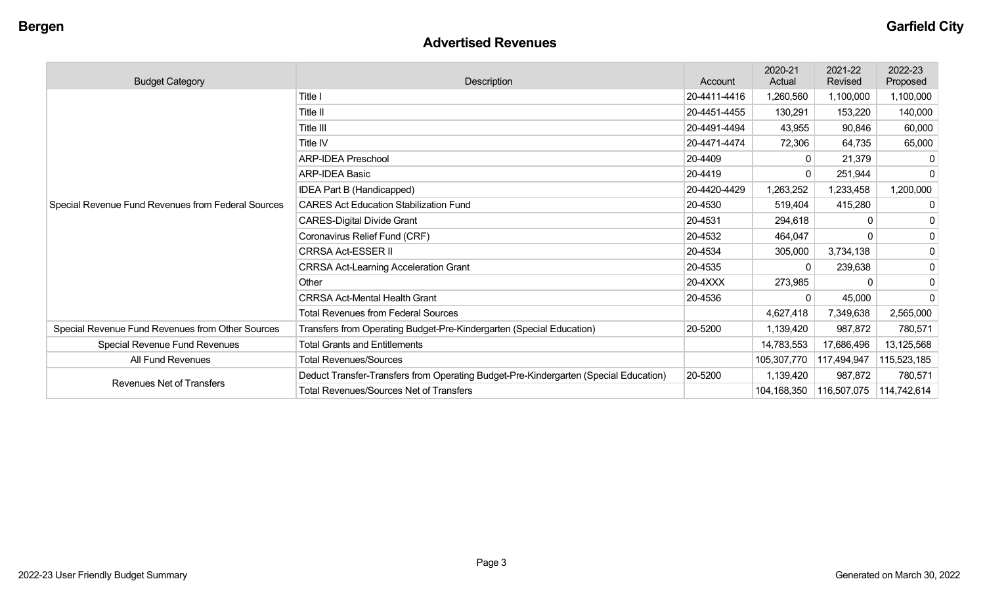## **Advertised Revenues**

| <b>Budget Category</b>                                         | Description                                                                          | Account      | 2020-21<br>Actual | 2021-22<br>Revised | 2022-23<br>Proposed |
|----------------------------------------------------------------|--------------------------------------------------------------------------------------|--------------|-------------------|--------------------|---------------------|
|                                                                | Title I                                                                              | 20-4411-4416 | 1,260,560         | 1,100,000          | 1,100,000           |
|                                                                | Title II                                                                             | 20-4451-4455 | 130,291           | 153,220            | 140,000             |
|                                                                | Title III                                                                            | 20-4491-4494 | 43,955            | 90,846             | 60,000              |
|                                                                | Title IV                                                                             | 20-4471-4474 | 72,306            | 64,735             | 65,000              |
|                                                                | <b>ARP-IDEA Preschool</b>                                                            | 20-4409      |                   | 21,379             |                     |
|                                                                | <b>ARP-IDEA Basic</b>                                                                | 20-4419      |                   | 251,944            | $\Omega$            |
|                                                                | <b>IDEA Part B (Handicapped)</b>                                                     | 20-4420-4429 | 1,263,252         | 1,233,458          | 1,200,000           |
| Special Revenue Fund Revenues from Federal Sources             | <b>CARES Act Education Stabilization Fund</b>                                        | 20-4530      | 519,404           | 415,280            | 0                   |
|                                                                | <b>CARES-Digital Divide Grant</b>                                                    | 20-4531      | 294,618           |                    | 0                   |
|                                                                | Coronavirus Relief Fund (CRF)                                                        | 20-4532      | 464,047           |                    | 0                   |
|                                                                | <b>CRRSA Act-ESSER II</b>                                                            | 20-4534      | 305,000           | 3,734,138          | 0                   |
|                                                                | <b>CRRSA Act-Learning Acceleration Grant</b>                                         | 20-4535      | $\Omega$          | 239,638            | $\mathbf 0$         |
|                                                                | Other                                                                                | 20-4XXX      | 273,985           |                    | 0                   |
|                                                                | <b>CRRSA Act-Mental Health Grant</b>                                                 | 20-4536      | $\Omega$          | 45,000             | $\Omega$            |
|                                                                | <b>Total Revenues from Federal Sources</b>                                           |              | 4,627,418         | 7,349,638          | 2,565,000           |
| Special Revenue Fund Revenues from Other Sources               | Transfers from Operating Budget-Pre-Kindergarten (Special Education)                 | 20-5200      | 1,139,420         | 987,872            | 780,571             |
| Special Revenue Fund Revenues<br>Total Grants and Entitlements |                                                                                      |              | 14,783,553        | 17,686,496         | 13,125,568          |
| All Fund Revenues                                              | <b>Total Revenues/Sources</b>                                                        |              | 105,307,770       | 117,494,947        | 115,523,185         |
|                                                                | Deduct Transfer-Transfers from Operating Budget-Pre-Kindergarten (Special Education) | 20-5200      | 1,139,420         | 987,872            | 780,571             |
| <b>Revenues Net of Transfers</b>                               | <b>Total Revenues/Sources Net of Transfers</b>                                       |              | 104,168,350       | 116,507,075        | 114,742,614         |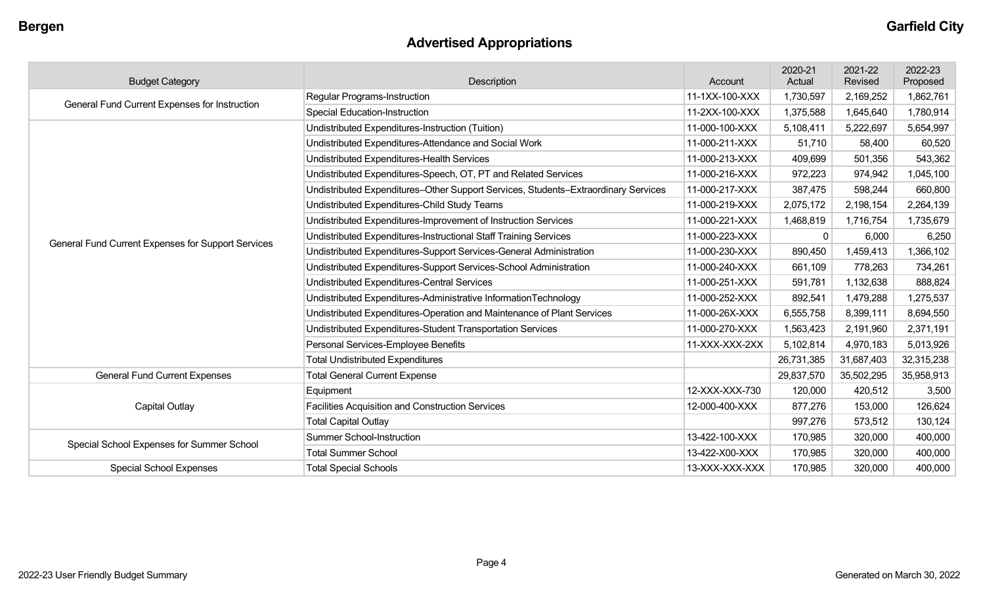## **Advertised Appropriations**

| <b>Budget Category</b>                             | Description                                                                        | Account        | 2020-21<br>Actual | 2021-22<br>Revised | 2022-23<br>Proposed |
|----------------------------------------------------|------------------------------------------------------------------------------------|----------------|-------------------|--------------------|---------------------|
| General Fund Current Expenses for Instruction      | Regular Programs-Instruction                                                       | 11-1XX-100-XXX | 1,730,597         | 2,169,252          | 1,862,761           |
|                                                    | <b>Special Education-Instruction</b>                                               | 11-2XX-100-XXX | 1,375,588         | 1,645,640          | 1,780,914           |
|                                                    | Undistributed Expenditures-Instruction (Tuition)                                   | 11-000-100-XXX | 5,108,411         | 5,222,697          | 5,654,997           |
|                                                    | Undistributed Expenditures-Attendance and Social Work                              | 11-000-211-XXX | 51,710            | 58,400             | 60,520              |
|                                                    | Undistributed Expenditures-Health Services                                         | 11-000-213-XXX | 409,699           | 501,356            | 543,362             |
|                                                    | Undistributed Expenditures-Speech, OT, PT and Related Services                     | 11-000-216-XXX | 972,223           | 974,942            | 1,045,100           |
|                                                    | Undistributed Expenditures-Other Support Services, Students-Extraordinary Services | 11-000-217-XXX | 387,475           | 598,244            | 660,800             |
|                                                    | Undistributed Expenditures-Child Study Teams                                       | 11-000-219-XXX | 2,075,172         | 2,198,154          | 2,264,139           |
|                                                    | Undistributed Expenditures-Improvement of Instruction Services                     | 11-000-221-XXX | 1,468,819         | 1,716,754          | 1,735,679           |
| General Fund Current Expenses for Support Services | Undistributed Expenditures-Instructional Staff Training Services                   | 11-000-223-XXX | 0                 | 6,000              | 6,250               |
|                                                    | Undistributed Expenditures-Support Services-General Administration                 | 11-000-230-XXX | 890,450           | 1,459,413          | 1,366,102           |
|                                                    | Undistributed Expenditures-Support Services-School Administration                  | 11-000-240-XXX | 661,109           | 778,263            | 734,261             |
|                                                    | Undistributed Expenditures-Central Services                                        | 11-000-251-XXX | 591,781           | 1,132,638          | 888,824             |
|                                                    | Undistributed Expenditures-Administrative InformationTechnology                    | 11-000-252-XXX | 892,541           | 1,479,288          | 1,275,537           |
|                                                    | Undistributed Expenditures-Operation and Maintenance of Plant Services             | 11-000-26X-XXX | 6,555,758         | 8,399,111          | 8,694,550           |
|                                                    | Undistributed Expenditures-Student Transportation Services                         | 11-000-270-XXX | 1,563,423         | 2,191,960          | 2,371,191           |
|                                                    | Personal Services-Employee Benefits                                                | 11-XXX-XXX-2XX | 5,102,814         | 4,970,183          | 5,013,926           |
|                                                    | <b>Total Undistributed Expenditures</b>                                            |                | 26,731,385        | 31,687,403         | 32,315,238          |
| <b>General Fund Current Expenses</b>               | <b>Total General Current Expense</b>                                               |                | 29,837,570        | 35,502,295         | 35,958,913          |
|                                                    | Equipment                                                                          | 12-XXX-XXX-730 | 120,000           | 420,512            | 3,500               |
| <b>Capital Outlay</b>                              | Facilities Acquisition and Construction Services                                   | 12-000-400-XXX | 877,276           | 153,000            | 126,624             |
|                                                    | <b>Total Capital Outlay</b>                                                        |                | 997,276           | 573,512            | 130,124             |
| Special School Expenses for Summer School          | <b>Summer School-Instruction</b>                                                   | 13-422-100-XXX | 170,985           | 320,000            | 400,000             |
|                                                    | <b>Total Summer School</b>                                                         | 13-422-X00-XXX | 170,985           | 320,000            | 400,000             |
| <b>Special School Expenses</b>                     | <b>Total Special Schools</b>                                                       | 13-XXX-XXX-XXX | 170,985           | 320,000            | 400,000             |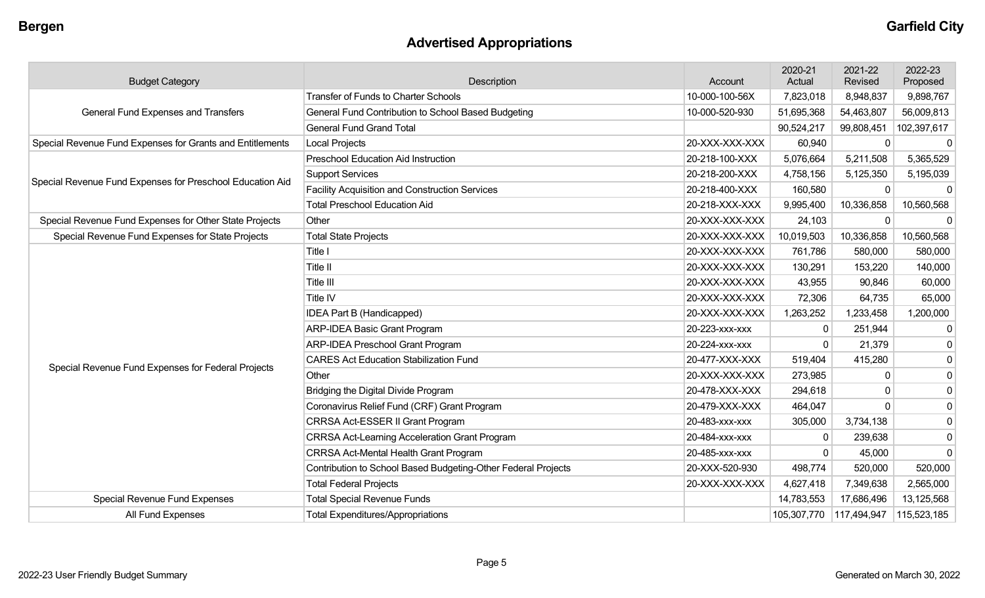# **Advertised Appropriations**

| <b>Budget Category</b>                                    | Description                                                   | Account        | 2020-21<br>Actual | 2021-22<br>Revised | 2022-23<br>Proposed |
|-----------------------------------------------------------|---------------------------------------------------------------|----------------|-------------------|--------------------|---------------------|
|                                                           | <b>Transfer of Funds to Charter Schools</b>                   | 10-000-100-56X | 7,823,018         | 8,948,837          | 9,898,767           |
| General Fund Expenses and Transfers                       | General Fund Contribution to School Based Budgeting           | 10-000-520-930 | 51,695,368        | 54,463,807         | 56,009,813          |
|                                                           | <b>General Fund Grand Total</b>                               |                | 90,524,217        | 99,808,451         | 102,397,617         |
| Special Revenue Fund Expenses for Grants and Entitlements | <b>Local Projects</b>                                         | 20-XXX-XXX-XXX | 60,940            | 0                  |                     |
|                                                           | <b>Preschool Education Aid Instruction</b>                    | 20-218-100-XXX | 5,076,664         | 5,211,508          | 5,365,529           |
| Special Revenue Fund Expenses for Preschool Education Aid | <b>Support Services</b>                                       | 20-218-200-XXX | 4,758,156         | 5,125,350          | 5,195,039           |
|                                                           | <b>Facility Acquisition and Construction Services</b>         | 20-218-400-XXX | 160,580           | 0                  | - 0                 |
|                                                           | <b>Total Preschool Education Aid</b>                          | 20-218-XXX-XXX | 9,995,400         | 10,336,858         | 10,560,568          |
| Special Revenue Fund Expenses for Other State Projects    | Other                                                         | 20-XXX-XXX-XXX | 24,103            | 0                  | $\mathbf{0}$        |
| Special Revenue Fund Expenses for State Projects          | <b>Total State Projects</b>                                   | 20-XXX-XXX-XXX | 10,019,503        | 10,336,858         | 10,560,568          |
|                                                           | Title I                                                       | 20-XXX-XXX-XXX | 761,786           | 580,000            | 580,000             |
|                                                           | <b>Title II</b>                                               | 20-XXX-XXX-XXX | 130,291           | 153,220            | 140,000             |
|                                                           | Title III                                                     | 20-XXX-XXX-XXX | 43,955            | 90,846             | 60,000              |
|                                                           | <b>Title IV</b>                                               | 20-XXX-XXX-XXX | 72,306            | 64,735             | 65,000              |
|                                                           | IDEA Part B (Handicapped)                                     | 20-XXX-XXX-XXX | 1,263,252         | 1,233,458          | 1,200,000           |
|                                                           | <b>ARP-IDEA Basic Grant Program</b>                           | 20-223-xxx-xxx | $\Omega$          | 251,944            | 0                   |
|                                                           | <b>ARP-IDEA Preschool Grant Program</b>                       | 20-224-xxx-xxx | $\mathbf 0$       | 21,379             | $\Omega$            |
| Special Revenue Fund Expenses for Federal Projects        | <b>CARES Act Education Stabilization Fund</b>                 | 20-477-XXX-XXX | 519,404           | 415,280            | $\mathbf 0$         |
|                                                           | Other                                                         | 20-XXX-XXX-XXX | 273,985           | 0                  | $\mathbf 0$         |
|                                                           | Bridging the Digital Divide Program                           | 20-478-XXX-XXX | 294,618           | 0                  | $\mathbf 0$         |
|                                                           | Coronavirus Relief Fund (CRF) Grant Program                   | 20-479-XXX-XXX | 464,047           | $\Omega$           | $\mathbf 0$         |
|                                                           | CRRSA Act-ESSER II Grant Program                              | 20-483-xxx-xxx | 305,000           | 3,734,138          | $\mathbf 0$         |
|                                                           | <b>CRRSA Act-Learning Acceleration Grant Program</b>          | 20-484-XXX-XXX | 0                 | 239,638            | $\mathbf 0$         |
|                                                           | CRRSA Act-Mental Health Grant Program                         | 20-485-XXX-XXX | $\mathbf{0}$      | 45,000             | $\Omega$            |
|                                                           | Contribution to School Based Budgeting-Other Federal Projects | 20-XXX-520-930 | 498,774           | 520,000            | 520,000             |
|                                                           | <b>Total Federal Projects</b>                                 | 20-XXX-XXX-XXX | 4,627,418         | 7,349,638          | 2,565,000           |
| <b>Special Revenue Fund Expenses</b>                      | <b>Total Special Revenue Funds</b>                            |                | 14,783,553        | 17,686,496         | 13,125,568          |
| All Fund Expenses                                         | <b>Total Expenditures/Appropriations</b>                      |                | 105,307,770       | 117,494,947        | 115,523,185         |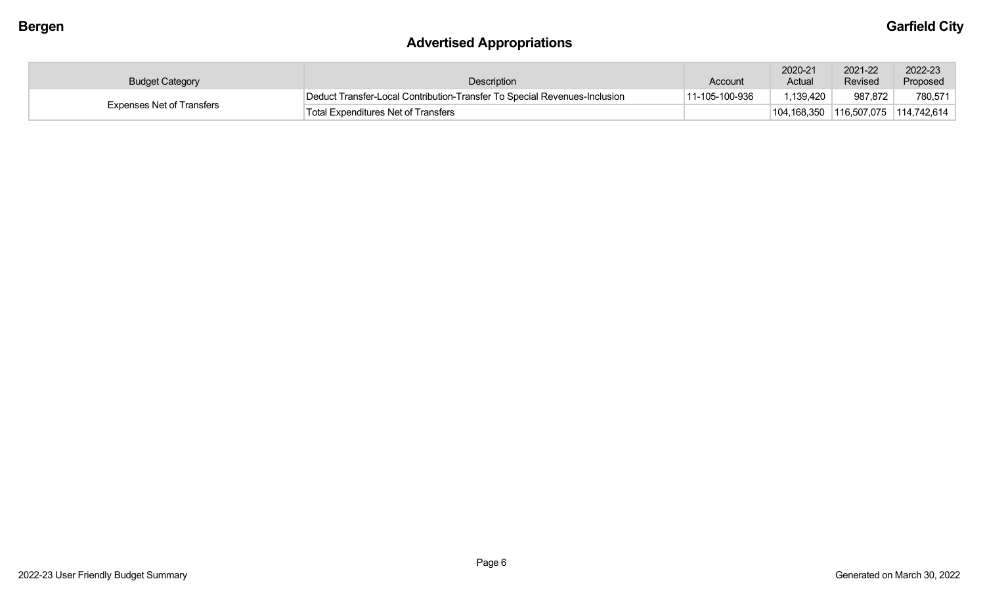## **Advertised Appropriations**

| <b>Budget Category</b>           | Description                                                               | Account        | 2020-21<br>Actual | 2021-22<br>Revised                              | 2022-23<br>Proposed |
|----------------------------------|---------------------------------------------------------------------------|----------------|-------------------|-------------------------------------------------|---------------------|
|                                  | Deduct Transfer-Local Contribution-Transfer To Special Revenues-Inclusion | 11-105-100-936 | .139,420          | 987,872                                         | 780,571             |
| <b>Expenses Net of Transfers</b> | Total Expenditures Net of Transfers                                       |                |                   | $104, 168, 350$ $116, 507, 075$ $114, 742, 614$ |                     |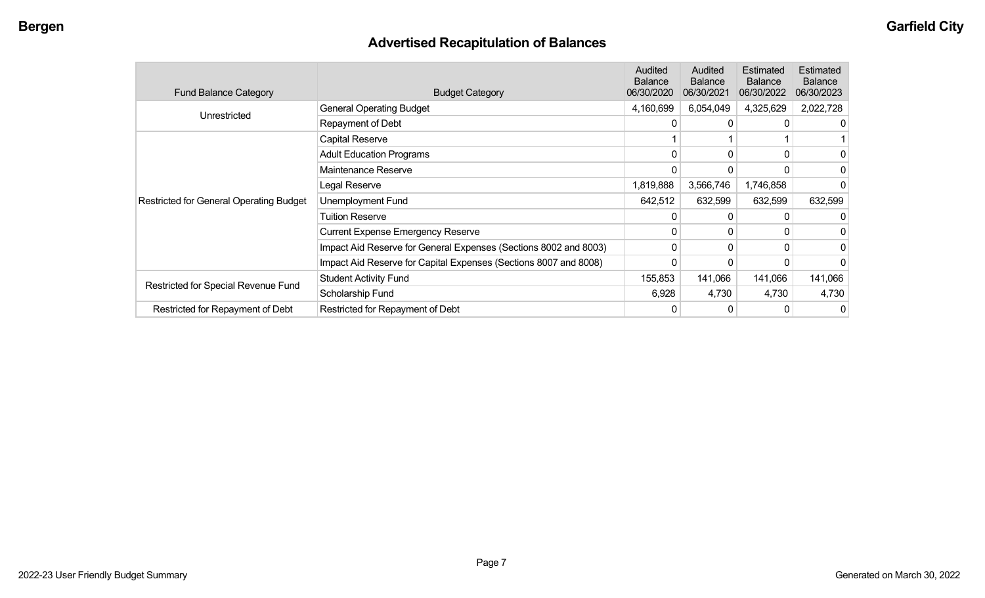## **Advertised Recapitulation of Balances**

| <b>Fund Balance Category</b>                   | <b>Budget Category</b>                                           | Audited<br><b>Balance</b><br>06/30/2020 | Audited<br><b>Balance</b><br>06/30/2021 | Estimated<br><b>Balance</b><br>06/30/2022 | Estimated<br><b>Balance</b><br>06/30/2023 |
|------------------------------------------------|------------------------------------------------------------------|-----------------------------------------|-----------------------------------------|-------------------------------------------|-------------------------------------------|
| Unrestricted                                   | <b>General Operating Budget</b>                                  | 4,160,699                               | 6,054,049                               | 4,325,629                                 | 2,022,728                                 |
|                                                | Repayment of Debt                                                | 0                                       | $\Omega$                                |                                           | 0                                         |
|                                                | <b>Capital Reserve</b>                                           |                                         |                                         |                                           |                                           |
|                                                | <b>Adult Education Programs</b>                                  | 0                                       |                                         |                                           | 0                                         |
|                                                | Maintenance Reserve                                              | 0                                       |                                         |                                           |                                           |
|                                                | Legal Reserve                                                    | 1,819,888                               | 3,566,746                               | 1,746,858                                 |                                           |
| <b>Restricted for General Operating Budget</b> | Unemployment Fund                                                | 642,512                                 | 632,599                                 | 632,599                                   | 632,599                                   |
|                                                | <b>Tuition Reserve</b>                                           |                                         |                                         |                                           | 0                                         |
|                                                | <b>Current Expense Emergency Reserve</b>                         | $\Omega$                                | $\Omega$                                |                                           | 0                                         |
|                                                | Impact Aid Reserve for General Expenses (Sections 8002 and 8003) | 0                                       | 0                                       | <sup>0</sup>                              | 0                                         |
|                                                | Impact Aid Reserve for Capital Expenses (Sections 8007 and 8008) | 0                                       |                                         |                                           | 0                                         |
|                                                | <b>Student Activity Fund</b>                                     | 155,853                                 | 141,066                                 | 141,066                                   | 141,066                                   |
| Restricted for Special Revenue Fund            | Scholarship Fund                                                 | 6,928                                   | 4,730                                   | 4,730                                     | 4,730                                     |
| Restricted for Repayment of Debt               | Restricted for Repayment of Debt                                 | 0                                       |                                         |                                           | 0                                         |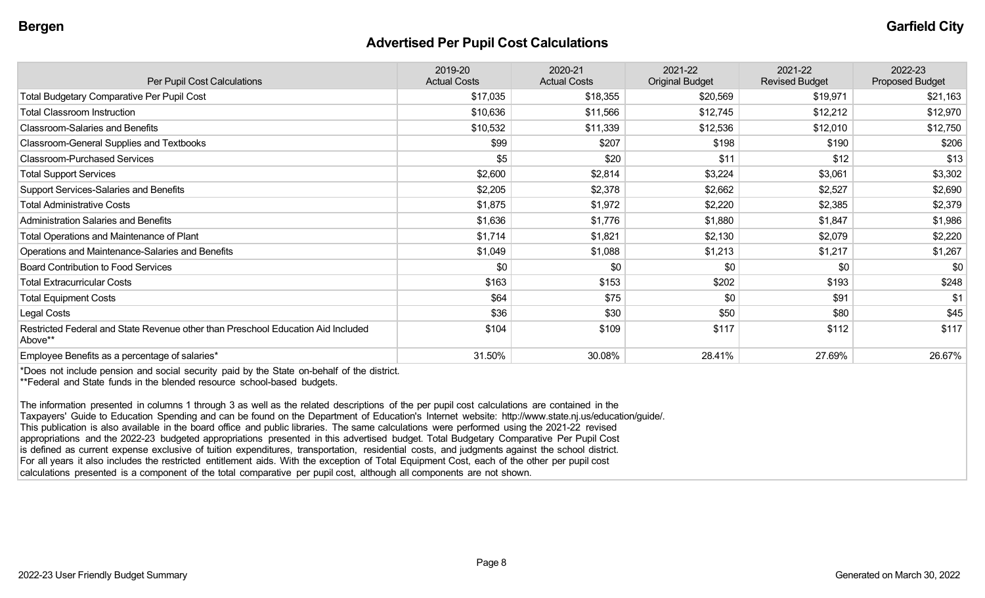#### **Advertised Per Pupil Cost Calculations**

| Per Pupil Cost Calculations                                                                 | 2019-20<br><b>Actual Costs</b> | 2020-21<br><b>Actual Costs</b> | 2021-22<br><b>Original Budget</b> | 2021-22<br><b>Revised Budget</b> | 2022-23<br>Proposed Budget |
|---------------------------------------------------------------------------------------------|--------------------------------|--------------------------------|-----------------------------------|----------------------------------|----------------------------|
| <b>Total Budgetary Comparative Per Pupil Cost</b>                                           | \$17,035                       | \$18,355                       | \$20,569                          | \$19,971                         | \$21,163                   |
| <b>Total Classroom Instruction</b>                                                          | \$10,636                       | \$11,566                       | \$12,745                          | \$12,212                         | \$12,970                   |
| <b>Classroom-Salaries and Benefits</b>                                                      | \$10,532                       | \$11,339                       | \$12,536                          | \$12,010                         | \$12,750                   |
| <b>Classroom-General Supplies and Textbooks</b>                                             | \$99                           | \$207                          | \$198                             | \$190                            | \$206                      |
| <b>Classroom-Purchased Services</b>                                                         | \$5                            | \$20                           | \$11                              | \$12                             | \$13                       |
| <b>Total Support Services</b>                                                               | \$2,600                        | \$2,814                        | \$3,224                           | \$3,061                          | \$3,302                    |
| Support Services-Salaries and Benefits                                                      | \$2,205                        | \$2,378                        | \$2,662                           | \$2,527                          | \$2,690                    |
| <b>Total Administrative Costs</b>                                                           | \$1,875                        | \$1,972                        | \$2,220                           | \$2,385                          | \$2,379                    |
| <b>Administration Salaries and Benefits</b>                                                 | \$1,636                        | \$1,776                        | \$1,880                           | \$1,847                          | \$1,986                    |
| Total Operations and Maintenance of Plant                                                   | \$1,714                        | \$1,821                        | \$2,130                           | \$2,079                          | \$2,220                    |
| Operations and Maintenance-Salaries and Benefits                                            | \$1,049                        | \$1,088                        | \$1,213                           | \$1,217                          | \$1,267                    |
| <b>Board Contribution to Food Services</b>                                                  | \$0                            | \$0                            | \$0                               | \$0                              | \$0                        |
| <b>Total Extracurricular Costs</b>                                                          | \$163                          | \$153                          | \$202                             | \$193                            | \$248                      |
| <b>Total Equipment Costs</b>                                                                | \$64                           | \$75                           | \$0                               | \$91                             | \$1                        |
| Legal Costs                                                                                 | \$36                           | \$30                           | \$50                              | \$80                             | \$45                       |
| Restricted Federal and State Revenue other than Preschool Education Aid Included<br>Above** | \$104                          | \$109                          | \$117                             | \$112                            | \$117                      |
| Employee Benefits as a percentage of salaries*                                              | 31.50%                         | 30.08%                         | 28.41%                            | 27.69%                           | 26.67%                     |

\*Does not include pension and social security paid by the State on-behalf of the district. \*\*Federal and State funds in the blended resource school-based budgets.

The information presented in columns 1 through 3 as well as the related descriptions of the per pupil cost calculations are contained in the Taxpayers' Guide to Education Spending and can be found on the Department of Education's Internet website: http://www.state.nj.us/education/guide/. This publication is also available in the board office and public libraries. The same calculations were performed using the 2021-22 revised appropriations and the 2022-23 budgeted appropriations presented in this advertised budget. Total Budgetary Comparative Per Pupil Cost is defined as current expense exclusive of tuition expenditures, transportation, residential costs, and judgments against the school district. For all years it also includes the restricted entitlement aids. With the exception of Total Equipment Cost, each of the other per pupil cost calculations presented is a component of the total comparative per pupil cost, although all components are not shown.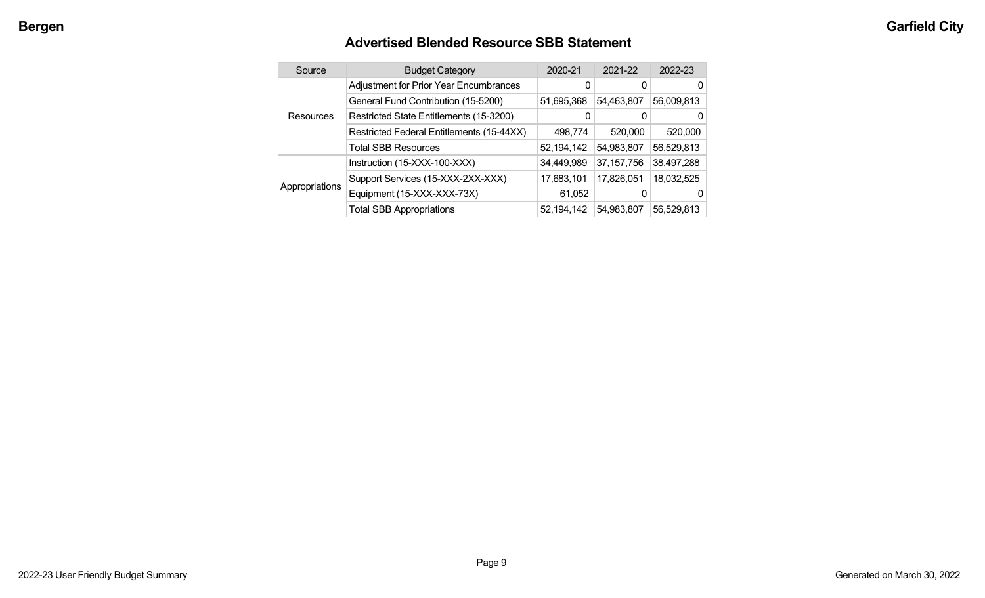## **Advertised Blended Resource SBB Statement**

|  | Source           | <b>Budget Category</b>                        | 2020-21    | 2021-22      | 2022-23    |
|--|------------------|-----------------------------------------------|------------|--------------|------------|
|  |                  | <b>Adjustment for Prior Year Encumbrances</b> |            | 0            | 0          |
|  |                  | General Fund Contribution (15-5200)           | 51,695,368 | 54,463,807   | 56,009,813 |
|  | <b>Resources</b> | Restricted State Entitlements (15-3200)       | 0          | 0            | 0          |
|  |                  | Restricted Federal Entitlements (15-44XX)     | 498,774    | 520,000      | 520,000    |
|  |                  | <b>Total SBB Resources</b>                    | 52,194,142 | 54,983,807   | 56,529,813 |
|  |                  | Instruction (15-XXX-100-XXX)                  | 34,449,989 | 37, 157, 756 | 38,497,288 |
|  |                  | Support Services (15-XXX-2XX-XXX)             | 17,683,101 | 17,826,051   | 18,032,525 |
|  | Appropriations   | Equipment (15-XXX-XXX-73X)                    | 61,052     | 0            | 0          |
|  |                  | <b>Total SBB Appropriations</b>               | 52,194,142 | 54,983,807   | 56,529,813 |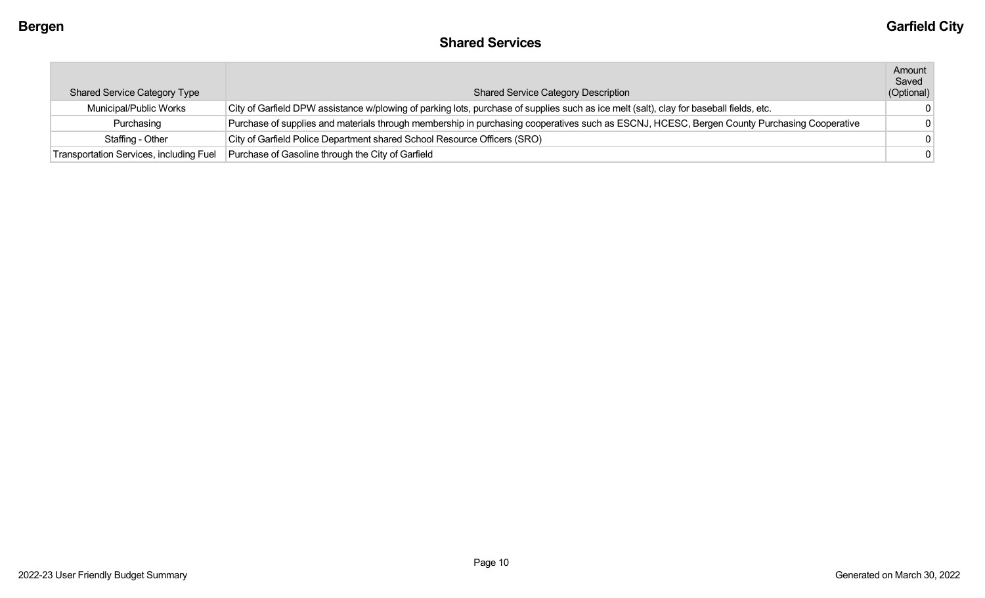## **Shared Services**

|                                         |                                                                                                                                             | Amount     |
|-----------------------------------------|---------------------------------------------------------------------------------------------------------------------------------------------|------------|
|                                         |                                                                                                                                             | Saved      |
| <b>Shared Service Category Type</b>     | <b>Shared Service Category Description</b>                                                                                                  | (Optional) |
| Municipal/Public Works                  | City of Garfield DPW assistance w/plowing of parking lots, purchase of supplies such as ice melt (salt), clay for baseball fields, etc.     | $^{\circ}$ |
| Purchasing                              | Purchase of supplies and materials through membership in purchasing cooperatives such as ESCNJ, HCESC, Bergen County Purchasing Cooperative | $\Omega$   |
| Staffing - Other                        | City of Garfield Police Department shared School Resource Officers (SRO)                                                                    | $\Omega$   |
| Transportation Services, including Fuel | Purchase of Gasoline through the City of Garfield                                                                                           | $\Omega$   |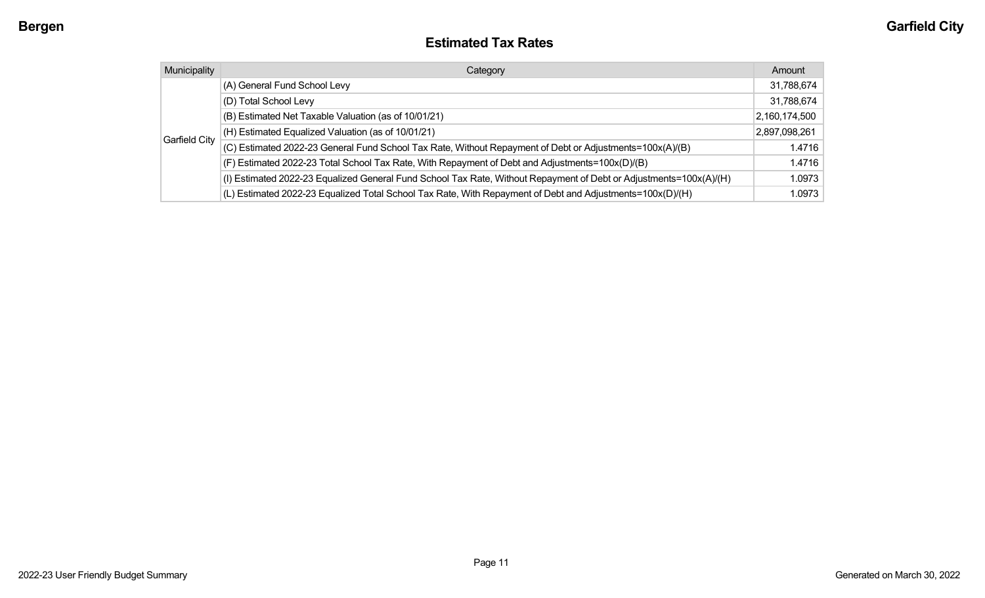#### **Estimated Tax Rates**

| Municipality  | Category                                                                                                           | Amount        |
|---------------|--------------------------------------------------------------------------------------------------------------------|---------------|
|               | (A) General Fund School Levy                                                                                       | 31,788,674    |
|               | (D) Total School Levy                                                                                              | 31,788,674    |
|               | (B) Estimated Net Taxable Valuation (as of 10/01/21)                                                               | 2,160,174,500 |
|               | (H) Estimated Equalized Valuation (as of 10/01/21)                                                                 | 2,897,098,261 |
| Garfield City | (C) Estimated 2022-23 General Fund School Tax Rate, Without Repayment of Debt or Adjustments=100x(A)/(B)           | 1.4716        |
|               | (F) Estimated 2022-23 Total School Tax Rate, With Repayment of Debt and Adjustments=100x(D)/(B)                    | 1.4716        |
|               | (I) Estimated 2022-23 Equalized General Fund School Tax Rate, Without Repayment of Debt or Adjustments=100x(A)/(H) | 1.0973        |
|               | (L) Estimated 2022-23 Equalized Total School Tax Rate, With Repayment of Debt and Adjustments=100x(D)/(H)          | 1.0973        |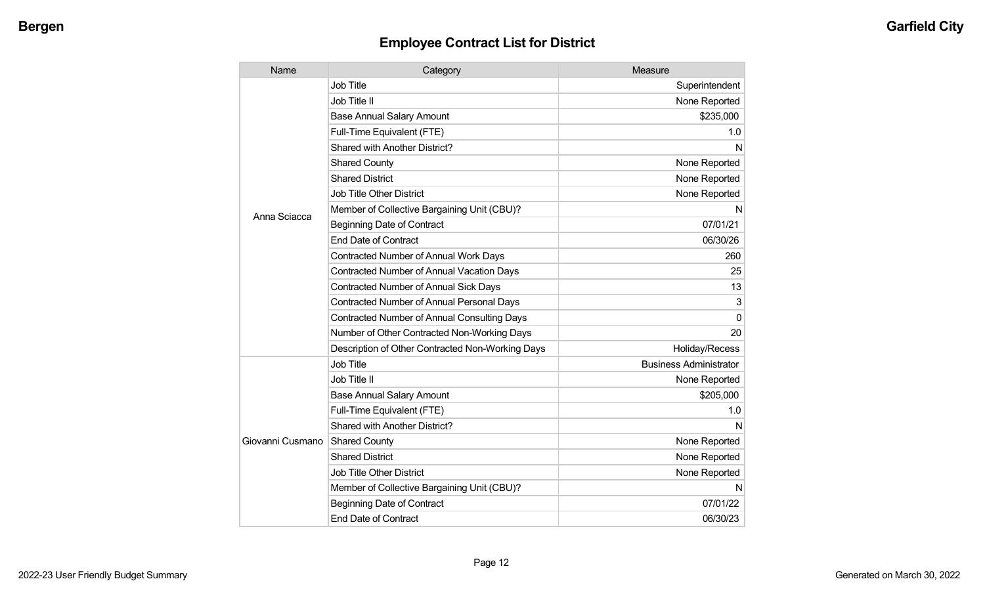| Name             | Category                                           | Measure                       |
|------------------|----------------------------------------------------|-------------------------------|
|                  | Job Title                                          | Superintendent                |
|                  | Job Title II                                       | None Reported                 |
|                  | <b>Base Annual Salary Amount</b>                   | \$235,000                     |
|                  | Full-Time Equivalent (FTE)                         | 1.0                           |
|                  | <b>Shared with Another District?</b>               | N                             |
|                  | <b>Shared County</b>                               | None Reported                 |
|                  | <b>Shared District</b>                             | None Reported                 |
|                  | <b>Job Title Other District</b>                    | None Reported                 |
| Anna Sciacca     | Member of Collective Bargaining Unit (CBU)?        | N                             |
|                  | <b>Beginning Date of Contract</b>                  | 07/01/21                      |
|                  | <b>End Date of Contract</b>                        | 06/30/26                      |
|                  | <b>Contracted Number of Annual Work Days</b>       | 260                           |
|                  | <b>Contracted Number of Annual Vacation Days</b>   | 25                            |
|                  | <b>Contracted Number of Annual Sick Days</b>       | 13                            |
|                  | <b>Contracted Number of Annual Personal Days</b>   | 3                             |
|                  | <b>Contracted Number of Annual Consulting Days</b> | $\Omega$                      |
|                  | Number of Other Contracted Non-Working Days        | 20                            |
|                  | Description of Other Contracted Non-Working Days   | Holiday/Recess                |
|                  | <b>Job Title</b>                                   | <b>Business Administrator</b> |
|                  | Job Title II                                       | None Reported                 |
|                  | <b>Base Annual Salary Amount</b>                   | \$205,000                     |
|                  | Full-Time Equivalent (FTE)                         | 1.0                           |
|                  | <b>Shared with Another District?</b>               | N                             |
| Giovanni Cusmano | <b>Shared County</b>                               | None Reported                 |
|                  | <b>Shared District</b>                             | None Reported                 |
|                  | Job Title Other District                           | None Reported                 |
|                  | Member of Collective Bargaining Unit (CBU)?        | N                             |
|                  | <b>Beginning Date of Contract</b>                  | 07/01/22                      |
|                  | <b>End Date of Contract</b>                        | 06/30/23                      |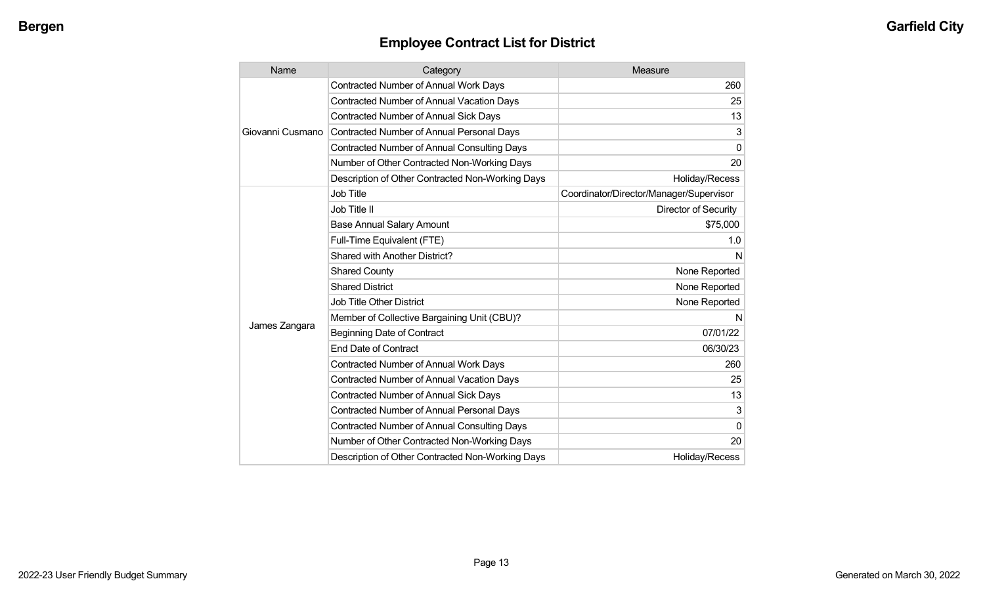| Name             | Category                                           | Measure                                 |
|------------------|----------------------------------------------------|-----------------------------------------|
| Giovanni Cusmano | <b>Contracted Number of Annual Work Days</b>       | 260                                     |
|                  | <b>Contracted Number of Annual Vacation Days</b>   | 25                                      |
|                  | <b>Contracted Number of Annual Sick Days</b>       | 13                                      |
|                  | <b>Contracted Number of Annual Personal Days</b>   | 3                                       |
|                  | <b>Contracted Number of Annual Consulting Days</b> | $\mathbf 0$                             |
|                  | Number of Other Contracted Non-Working Days        | 20                                      |
|                  | Description of Other Contracted Non-Working Days   | Holiday/Recess                          |
| James Zangara    | Job Title                                          | Coordinator/Director/Manager/Supervisor |
|                  | Job Title II                                       | Director of Security                    |
|                  | <b>Base Annual Salary Amount</b>                   | \$75,000                                |
|                  | Full-Time Equivalent (FTE)                         | 1.0                                     |
|                  | Shared with Another District?                      | N                                       |
|                  | <b>Shared County</b>                               | None Reported                           |
|                  | <b>Shared District</b>                             | None Reported                           |
|                  | <b>Job Title Other District</b>                    | None Reported                           |
|                  | Member of Collective Bargaining Unit (CBU)?        | N                                       |
|                  | <b>Beginning Date of Contract</b>                  | 07/01/22                                |
|                  | <b>End Date of Contract</b>                        | 06/30/23                                |
|                  | Contracted Number of Annual Work Days              | 260                                     |
|                  | <b>Contracted Number of Annual Vacation Days</b>   | 25                                      |
|                  | <b>Contracted Number of Annual Sick Days</b>       | 13                                      |
|                  | <b>Contracted Number of Annual Personal Days</b>   | 3                                       |
|                  | <b>Contracted Number of Annual Consulting Days</b> | $\mathbf 0$                             |
|                  | Number of Other Contracted Non-Working Days        | 20                                      |
|                  | Description of Other Contracted Non-Working Days   | Holiday/Recess                          |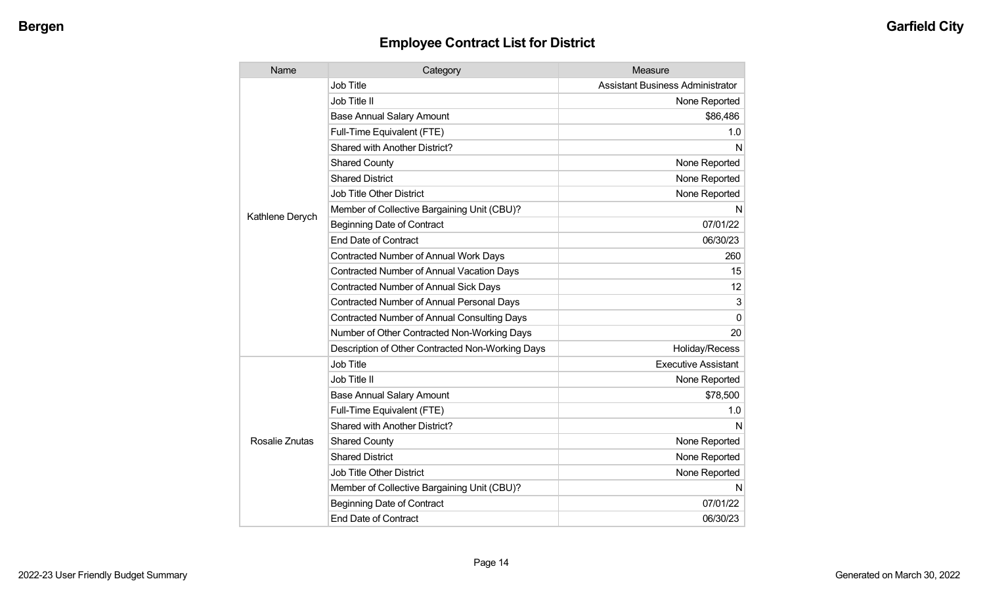| Name            | Category                                         | Measure                                 |
|-----------------|--------------------------------------------------|-----------------------------------------|
| Kathlene Derych | <b>Job Title</b>                                 | <b>Assistant Business Administrator</b> |
|                 | Job Title II                                     | None Reported                           |
|                 | <b>Base Annual Salary Amount</b>                 | \$86,486                                |
|                 | Full-Time Equivalent (FTE)                       | 1.0                                     |
|                 | Shared with Another District?                    | N                                       |
|                 | <b>Shared County</b>                             | None Reported                           |
|                 | <b>Shared District</b>                           | None Reported                           |
|                 | <b>Job Title Other District</b>                  | None Reported                           |
|                 | Member of Collective Bargaining Unit (CBU)?      | N                                       |
|                 | <b>Beginning Date of Contract</b>                | 07/01/22                                |
|                 | <b>End Date of Contract</b>                      | 06/30/23                                |
|                 | Contracted Number of Annual Work Days            | 260                                     |
|                 | <b>Contracted Number of Annual Vacation Days</b> | 15                                      |
|                 | <b>Contracted Number of Annual Sick Days</b>     | 12                                      |
|                 | <b>Contracted Number of Annual Personal Days</b> | 3                                       |
|                 | Contracted Number of Annual Consulting Days      | 0                                       |
|                 | Number of Other Contracted Non-Working Days      | 20                                      |
|                 | Description of Other Contracted Non-Working Days | Holiday/Recess                          |
| Rosalie Znutas  | <b>Job Title</b>                                 | <b>Executive Assistant</b>              |
|                 | Job Title II                                     | None Reported                           |
|                 | <b>Base Annual Salary Amount</b>                 | \$78,500                                |
|                 | Full-Time Equivalent (FTE)                       | 1.0                                     |
|                 | Shared with Another District?                    | N                                       |
|                 | <b>Shared County</b>                             | None Reported                           |
|                 | <b>Shared District</b>                           | None Reported                           |
|                 | <b>Job Title Other District</b>                  | None Reported                           |
|                 | Member of Collective Bargaining Unit (CBU)?      | N                                       |
|                 | <b>Beginning Date of Contract</b>                | 07/01/22                                |
|                 | <b>End Date of Contract</b>                      | 06/30/23                                |